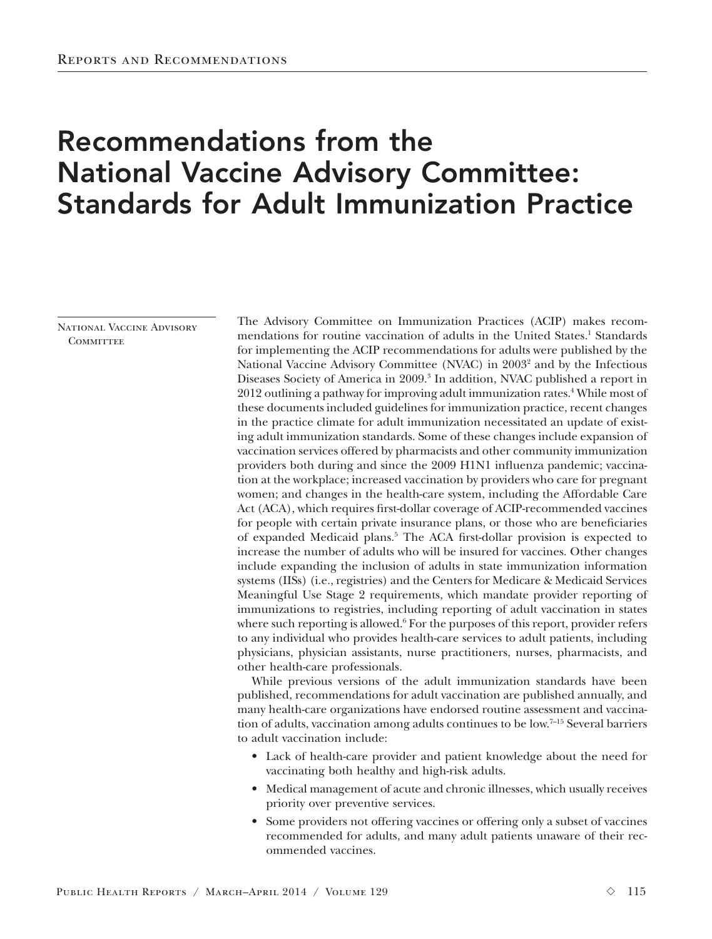# Recommendations from the National Vaccine Advisory Committee: Standards for Adult Immunization Practice

National Vaccine Advisory **COMMITTEE** 

The Advisory Committee on Immunization Practices (ACIP) makes recommendations for routine vaccination of adults in the United States.<sup>1</sup> Standards for implementing the ACIP recommendations for adults were published by the National Vaccine Advisory Committee (NVAC) in 2003<sup>2</sup> and by the Infectious Diseases Society of America in 2009.<sup>3</sup> In addition, NVAC published a report in 2012 outlining a pathway for improving adult immunization rates.<sup>4</sup> While most of these documents included guidelines for immunization practice, recent changes in the practice climate for adult immunization necessitated an update of existing adult immunization standards. Some of these changes include expansion of vaccination services offered by pharmacists and other community immunization providers both during and since the 2009 H1N1 influenza pandemic; vaccination at the workplace; increased vaccination by providers who care for pregnant women; and changes in the health-care system, including the Affordable Care Act (ACA), which requires first-dollar coverage of ACIP-recommended vaccines for people with certain private insurance plans, or those who are beneficiaries of expanded Medicaid plans.<sup>5</sup> The ACA first-dollar provision is expected to increase the number of adults who will be insured for vaccines. Other changes include expanding the inclusion of adults in state immunization information systems (IISs) (i.e., registries) and the Centers for Medicare & Medicaid Services Meaningful Use Stage 2 requirements, which mandate provider reporting of immunizations to registries, including reporting of adult vaccination in states where such reporting is allowed.<sup>6</sup> For the purposes of this report, provider refers to any individual who provides health-care services to adult patients, including physicians, physician assistants, nurse practitioners, nurses, pharmacists, and other health-care professionals.

While previous versions of the adult immunization standards have been published, recommendations for adult vaccination are published annually, and many health-care organizations have endorsed routine assessment and vaccination of adults, vaccination among adults continues to be low.7–15 Several barriers to adult vaccination include:

- Lack of health-care provider and patient knowledge about the need for vaccinating both healthy and high-risk adults.
- • Medical management of acute and chronic illnesses, which usually receives priority over preventive services.
- Some providers not offering vaccines or offering only a subset of vaccines recommended for adults, and many adult patients unaware of their recommended vaccines.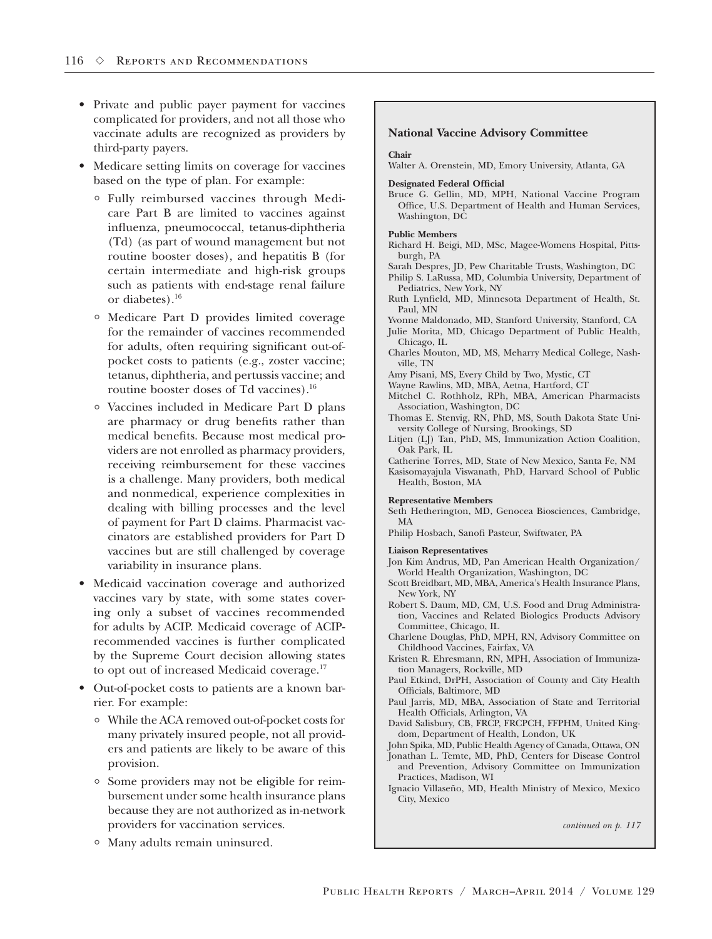- Private and public payer payment for vaccines complicated for providers, and not all those who vaccinate adults are recognized as providers by third-party payers.
- Medicare setting limits on coverage for vaccines based on the type of plan. For example:
	- ° Fully reimbursed vaccines through Medicare Part B are limited to vaccines against influenza, pneumococcal, tetanus-diphtheria (Td) (as part of wound management but not routine booster doses), and hepatitis B (for certain intermediate and high-risk groups such as patients with end-stage renal failure or diabetes).16
	- ° Medicare Part D provides limited coverage for the remainder of vaccines recommended for adults, often requiring significant out-ofpocket costs to patients (e.g., zoster vaccine; tetanus, diphtheria, and pertussis vaccine; and routine booster doses of Td vaccines).16
	- ° Vaccines included in Medicare Part D plans are pharmacy or drug benefits rather than medical benefits. Because most medical providers are not enrolled as pharmacy providers, receiving reimbursement for these vaccines is a challenge. Many providers, both medical and nonmedical, experience complexities in dealing with billing processes and the level of payment for Part D claims. Pharmacist vaccinators are established providers for Part D vaccines but are still challenged by coverage variability in insurance plans.
- Medicaid vaccination coverage and authorized vaccines vary by state, with some states covering only a subset of vaccines recommended for adults by ACIP. Medicaid coverage of ACIPrecommended vaccines is further complicated by the Supreme Court decision allowing states to opt out of increased Medicaid coverage.<sup>17</sup>
- Out-of-pocket costs to patients are a known barrier. For example:
	- ° While the ACA removed out-of-pocket costs for many privately insured people, not all providers and patients are likely to be aware of this provision.
	- ° Some providers may not be eligible for reimbursement under some health insurance plans because they are not authorized as in-network providers for vaccination services.
	- ° Many adults remain uninsured.

## **National Vaccine Advisory Committee**

## **Chair**

Walter A. Orenstein, MD, Emory University, Atlanta, GA

#### **Designated Federal Official**

Bruce G. Gellin, MD, MPH, National Vaccine Program Office, U.S. Department of Health and Human Services, Washington, DC

## **Public Members**

- Richard H. Beigi, MD, MSc, Magee-Womens Hospital, Pittsburgh, PA
- Sarah Despres, JD, Pew Charitable Trusts, Washington, DC
- Philip S. LaRussa, MD, Columbia University, Department of Pediatrics, New York, NY
- Ruth Lynfield, MD, Minnesota Department of Health, St. Paul, MN
- Yvonne Maldonado, MD, Stanford University, Stanford, CA
- Julie Morita, MD, Chicago Department of Public Health, Chicago, IL
- Charles Mouton, MD, MS, Meharry Medical College, Nashville, TN
- Amy Pisani, MS, Every Child by Two, Mystic, CT
- Wayne Rawlins, MD, MBA, Aetna, Hartford, CT
- Mitchel C. Rothholz, RPh, MBA, American Pharmacists Association, Washington, DC
- Thomas E. Stenvig, RN, PhD, MS, South Dakota State University College of Nursing, Brookings, SD
- Litjen (LJ) Tan, PhD, MS, Immunization Action Coalition, Oak Park, IL
- Catherine Torres, MD, State of New Mexico, Santa Fe, NM
- Kasisomayajula Viswanath, PhD, Harvard School of Public Health, Boston, MA

### **Representative Members**

- Seth Hetherington, MD, Genocea Biosciences, Cambridge, MA
- Philip Hosbach, Sanofi Pasteur, Swiftwater, PA

#### **Liaison Representatives**

- Jon Kim Andrus, MD, Pan American Health Organization/ World Health Organization, Washington, DC
- Scott Breidbart, MD, MBA, America's Health Insurance Plans, New York, NY
- Robert S. Daum, MD, CM, U.S. Food and Drug Administration, Vaccines and Related Biologics Products Advisory Committee, Chicago, IL
- Charlene Douglas, PhD, MPH, RN, Advisory Committee on Childhood Vaccines, Fairfax, VA
- Kristen R. Ehresmann, RN, MPH, Association of Immunization Managers, Rockville, MD
- Paul Etkind, DrPH, Association of County and City Health Officials, Baltimore, MD
- Paul Jarris, MD, MBA, Association of State and Territorial Health Officials, Arlington, VA
- David Salisbury, CB, FRCP, FRCPCH, FFPHM, United Kingdom, Department of Health, London, UK
- John Spika, MD, Public Health Agency of Canada, Ottawa, ON
- Jonathan L. Temte, MD, PhD, Centers for Disease Control and Prevention, Advisory Committee on Immunization Practices, Madison, WI
- Ignacio Villaseño, MD, Health Ministry of Mexico, Mexico City, Mexico

*continued on p. 117*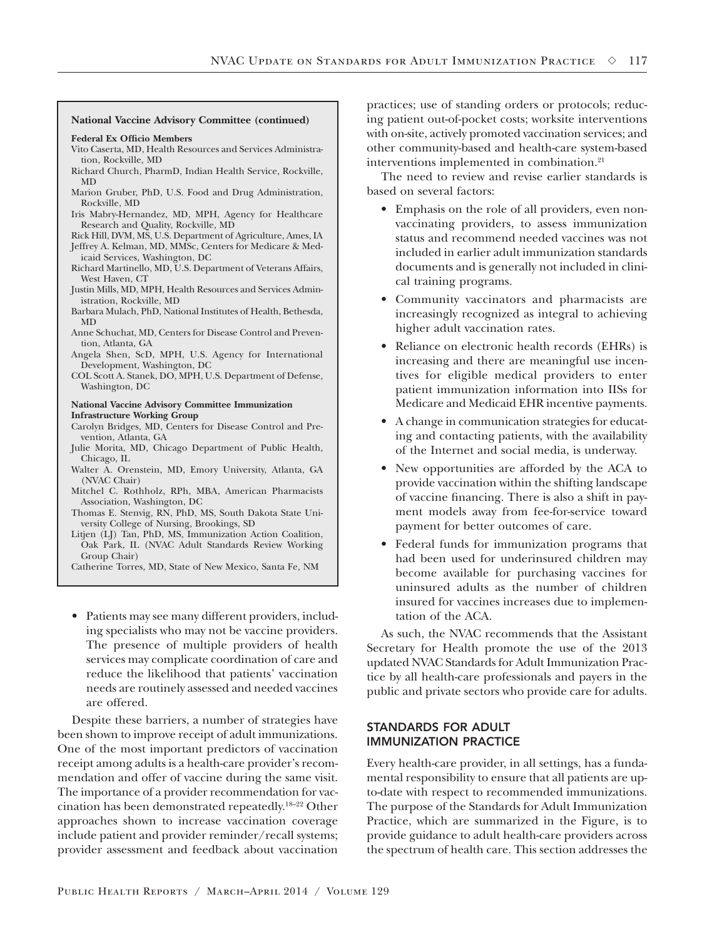#### **National Vaccine Advisory Committee (continued)**

## **Federal Ex Officio Members**

- Vito Caserta, MD, Health Resources and Services Administration, Rockville, MD
- Richard Church, PharmD, Indian Health Service, Rockville, MD
- Marion Gruber, PhD, U.S. Food and Drug Administration, Rockville, MD
- Iris Mabry-Hernandez, MD, MPH, Agency for Healthcare Research and Quality, Rockville, MD
- Rick Hill, DVM, MS, U.S. Department of Agriculture, Ames, IA Jeffrey A. Kelman, MD, MMSc, Centers for Medicare & Med-
- icaid Services, Washington, DC
- Richard Martinello, MD, U.S. Department of Veterans Affairs, West Haven, CT
- Justin Mills, MD, MPH, Health Resources and Services Administration, Rockville, MD
- Barbara Mulach, PhD, National Institutes of Health, Bethesda, MD
- Anne Schuchat, MD, Centers for Disease Control and Prevention, Atlanta, GA
- Angela Shen, ScD, MPH, U.S. Agency for International Development, Washington, DC
- COL Scott A. Stanek, DO, MPH, U.S. Department of Defense, Washington, DC

### **National Vaccine Advisory Committee Immunization Infrastructure Working Group**

- Carolyn Bridges, MD, Centers for Disease Control and Prevention, Atlanta, GA
- Julie Morita, MD, Chicago Department of Public Health, Chicago, IL
- Walter A. Orenstein, MD, Emory University, Atlanta, GA (NVAC Chair)
- Mitchel C. Rothholz, RPh, MBA, American Pharmacists Association, Washington, DC
- Thomas E. Stenvig, RN, PhD, MS, South Dakota State University College of Nursing, Brookings, SD
- Litjen (LJ) Tan, PhD, MS, Immunization Action Coalition, Oak Park, IL (NVAC Adult Standards Review Working Group Chair)

Catherine Torres, MD, State of New Mexico, Santa Fe, NM

• Patients may see many different providers, including specialists who may not be vaccine providers. The presence of multiple providers of health services may complicate coordination of care and reduce the likelihood that patients' vaccination needs are routinely assessed and needed vaccines are offered.

Despite these barriers, a number of strategies have been shown to improve receipt of adult immunizations. One of the most important predictors of vaccination receipt among adults is a health-care provider's recommendation and offer of vaccine during the same visit. The importance of a provider recommendation for vaccination has been demonstrated repeatedly.18–22 Other approaches shown to increase vaccination coverage include patient and provider reminder/recall systems; provider assessment and feedback about vaccination

practices; use of standing orders or protocols; reducing patient out-of-pocket costs; worksite interventions with on-site, actively promoted vaccination services; and other community-based and health-care system-based interventions implemented in combination.<sup>21</sup>

The need to review and revise earlier standards is based on several factors:

- • Emphasis on the role of all providers, even nonvaccinating providers, to assess immunization status and recommend needed vaccines was not included in earlier adult immunization standards documents and is generally not included in clinical training programs.
- • Community vaccinators and pharmacists are increasingly recognized as integral to achieving higher adult vaccination rates.
- Reliance on electronic health records (EHRs) is increasing and there are meaningful use incentives for eligible medical providers to enter patient immunization information into IISs for Medicare and Medicaid EHR incentive payments.
- A change in communication strategies for educating and contacting patients, with the availability of the Internet and social media, is underway.
- • New opportunities are afforded by the ACA to provide vaccination within the shifting landscape of vaccine financing. There is also a shift in payment models away from fee-for-service toward payment for better outcomes of care.
- Federal funds for immunization programs that had been used for underinsured children may become available for purchasing vaccines for uninsured adults as the number of children insured for vaccines increases due to implementation of the ACA.

As such, the NVAC recommends that the Assistant Secretary for Health promote the use of the 2013 updated NVAC Standards for Adult Immunization Practice by all health-care professionals and payers in the public and private sectors who provide care for adults.

# STANDARDS FOR ADULT IMMUNIZATION PRACTICE

Every health-care provider, in all settings, has a fundamental responsibility to ensure that all patients are upto-date with respect to recommended immunizations. The purpose of the Standards for Adult Immunization Practice, which are summarized in the Figure, is to provide guidance to adult health-care providers across the spectrum of health care. This section addresses the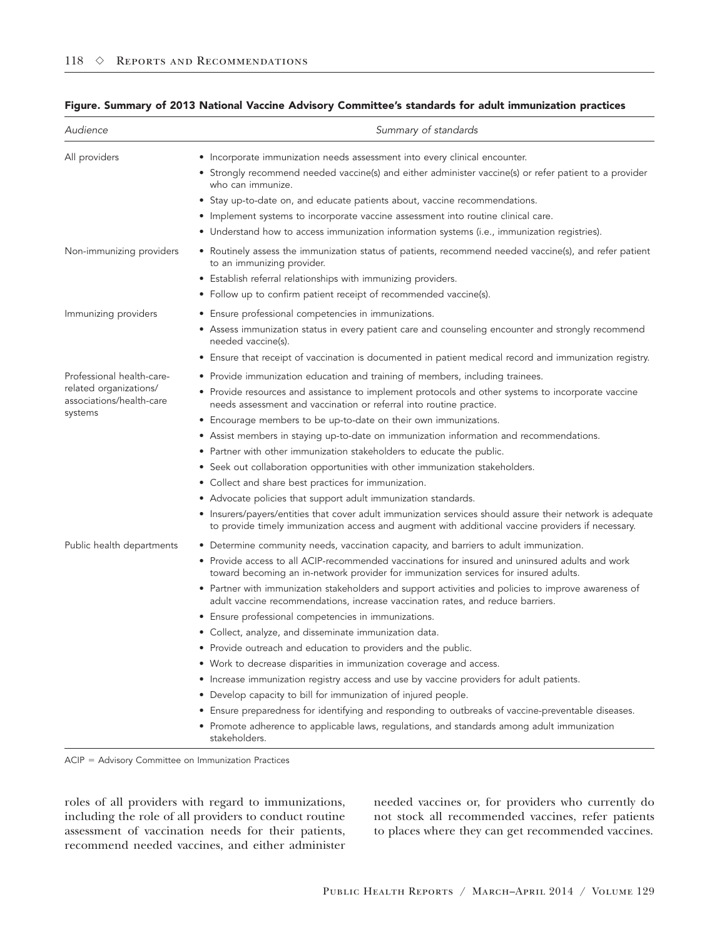| Audience                                                                                   | Summary of standards                                                                                                                                                                                           |
|--------------------------------------------------------------------------------------------|----------------------------------------------------------------------------------------------------------------------------------------------------------------------------------------------------------------|
| All providers                                                                              | • Incorporate immunization needs assessment into every clinical encounter.                                                                                                                                     |
|                                                                                            | • Strongly recommend needed vaccine(s) and either administer vaccine(s) or refer patient to a provider<br>who can immunize.                                                                                    |
|                                                                                            | • Stay up-to-date on, and educate patients about, vaccine recommendations.                                                                                                                                     |
|                                                                                            | • Implement systems to incorporate vaccine assessment into routine clinical care.                                                                                                                              |
|                                                                                            | • Understand how to access immunization information systems (i.e., immunization registries).                                                                                                                   |
| Non-immunizing providers                                                                   | • Routinely assess the immunization status of patients, recommend needed vaccine(s), and refer patient<br>to an immunizing provider.                                                                           |
|                                                                                            | • Establish referral relationships with immunizing providers.                                                                                                                                                  |
|                                                                                            | • Follow up to confirm patient receipt of recommended vaccine(s).                                                                                                                                              |
| Immunizing providers                                                                       | • Ensure professional competencies in immunizations.                                                                                                                                                           |
|                                                                                            | • Assess immunization status in every patient care and counseling encounter and strongly recommend<br>needed vaccine(s).                                                                                       |
|                                                                                            | • Ensure that receipt of vaccination is documented in patient medical record and immunization registry.                                                                                                        |
| Professional health-care-<br>related organizations/<br>associations/health-care<br>systems | • Provide immunization education and training of members, including trainees.                                                                                                                                  |
|                                                                                            | • Provide resources and assistance to implement protocols and other systems to incorporate vaccine<br>needs assessment and vaccination or referral into routine practice.                                      |
|                                                                                            | • Encourage members to be up-to-date on their own immunizations.                                                                                                                                               |
|                                                                                            | • Assist members in staying up-to-date on immunization information and recommendations.                                                                                                                        |
|                                                                                            | • Partner with other immunization stakeholders to educate the public.                                                                                                                                          |
|                                                                                            | • Seek out collaboration opportunities with other immunization stakeholders.                                                                                                                                   |
|                                                                                            | • Collect and share best practices for immunization.                                                                                                                                                           |
|                                                                                            | • Advocate policies that support adult immunization standards.                                                                                                                                                 |
|                                                                                            | • Insurers/payers/entities that cover adult immunization services should assure their network is adequate<br>to provide timely immunization access and augment with additional vaccine providers if necessary. |
| Public health departments                                                                  | • Determine community needs, vaccination capacity, and barriers to adult immunization.                                                                                                                         |
|                                                                                            | • Provide access to all ACIP-recommended vaccinations for insured and uninsured adults and work<br>toward becoming an in-network provider for immunization services for insured adults.                        |
|                                                                                            | • Partner with immunization stakeholders and support activities and policies to improve awareness of<br>adult vaccine recommendations, increase vaccination rates, and reduce barriers.                        |
|                                                                                            | • Ensure professional competencies in immunizations.                                                                                                                                                           |
|                                                                                            | • Collect, analyze, and disseminate immunization data.                                                                                                                                                         |
|                                                                                            | • Provide outreach and education to providers and the public.                                                                                                                                                  |
|                                                                                            | • Work to decrease disparities in immunization coverage and access.                                                                                                                                            |
|                                                                                            | • Increase immunization registry access and use by vaccine providers for adult patients.                                                                                                                       |
|                                                                                            | • Develop capacity to bill for immunization of injured people.                                                                                                                                                 |
|                                                                                            | • Ensure preparedness for identifying and responding to outbreaks of vaccine-preventable diseases.                                                                                                             |
|                                                                                            | • Promote adherence to applicable laws, regulations, and standards among adult immunization<br>stakeholders.                                                                                                   |

# Figure. Summary of 2013 National Vaccine Advisory Committee's standards for adult immunization practices

ACIP = Advisory Committee on Immunization Practices

roles of all providers with regard to immunizations, including the role of all providers to conduct routine assessment of vaccination needs for their patients, recommend needed vaccines, and either administer needed vaccines or, for providers who currently do not stock all recommended vaccines, refer patients to places where they can get recommended vaccines.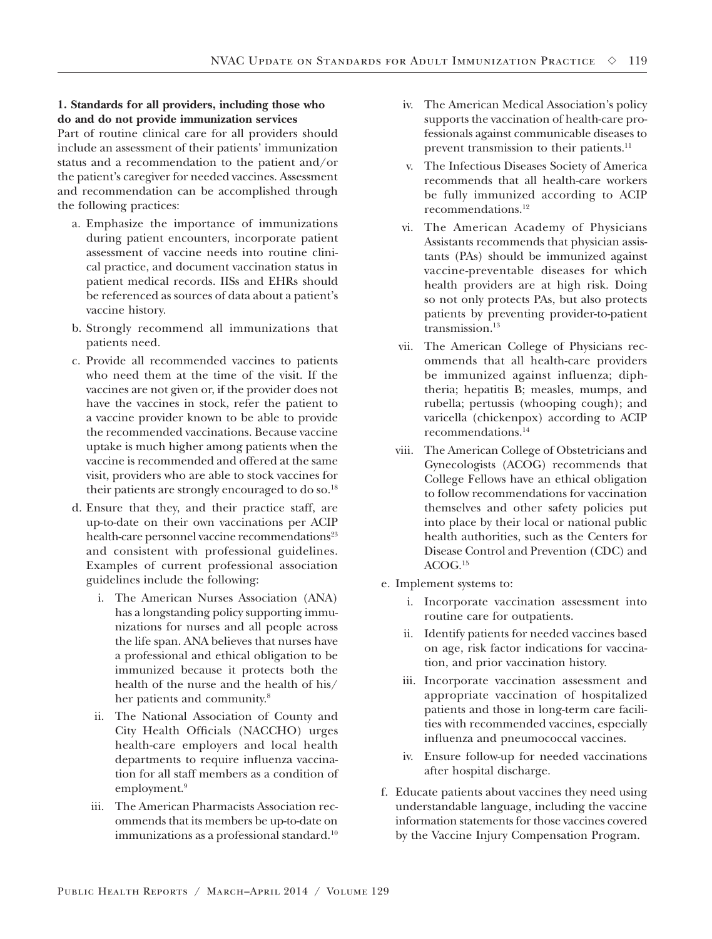# **1. Standards for all providers, including those who do and do not provide immunization services**

Part of routine clinical care for all providers should include an assessment of their patients' immunization status and a recommendation to the patient and/or the patient's caregiver for needed vaccines. Assessment and recommendation can be accomplished through the following practices:

- a. Emphasize the importance of immunizations during patient encounters, incorporate patient assessment of vaccine needs into routine clinical practice, and document vaccination status in patient medical records. IISs and EHRs should be referenced as sources of data about a patient's vaccine history.
- b. Strongly recommend all immunizations that patients need.
- c. Provide all recommended vaccines to patients who need them at the time of the visit. If the vaccines are not given or, if the provider does not have the vaccines in stock, refer the patient to a vaccine provider known to be able to provide the recommended vaccinations. Because vaccine uptake is much higher among patients when the vaccine is recommended and offered at the same visit, providers who are able to stock vaccines for their patients are strongly encouraged to do so.<sup>18</sup>
- d. Ensure that they, and their practice staff, are up-to-date on their own vaccinations per ACIP health-care personnel vaccine recommendations<sup>23</sup> and consistent with professional guidelines. Examples of current professional association guidelines include the following:
	- i. The American Nurses Association (ANA) has a longstanding policy supporting immunizations for nurses and all people across the life span. ANA believes that nurses have a professional and ethical obligation to be immunized because it protects both the health of the nurse and the health of his/ her patients and community.<sup>8</sup>
	- ii. The National Association of County and City Health Officials (NACCHO) urges health-care employers and local health departments to require influenza vaccination for all staff members as a condition of employment.<sup>9</sup>
	- iii. The American Pharmacists Association recommends that its members be up-to-date on immunizations as a professional standard.<sup>10</sup>
- iv. The American Medical Association's policy supports the vaccination of health-care professionals against communicable diseases to prevent transmission to their patients.<sup>11</sup>
- v. The Infectious Diseases Society of America recommends that all health-care workers be fully immunized according to ACIP recommendations.12
- vi. The American Academy of Physicians Assistants recommends that physician assistants (PAs) should be immunized against vaccine-preventable diseases for which health providers are at high risk. Doing so not only protects PAs, but also protects patients by preventing provider-to-patient transmission.<sup>13</sup>
- vii. The American College of Physicians recommends that all health-care providers be immunized against influenza; diphtheria; hepatitis B; measles, mumps, and rubella; pertussis (whooping cough); and varicella (chickenpox) according to ACIP recommendations.14
- viii. The American College of Obstetricians and Gynecologists (ACOG) recommends that College Fellows have an ethical obligation to follow recommendations for vaccination themselves and other safety policies put into place by their local or national public health authorities, such as the Centers for Disease Control and Prevention (CDC) and ACOG.15
- e. Implement systems to:
	- i. Incorporate vaccination assessment into routine care for outpatients.
	- ii. Identify patients for needed vaccines based on age, risk factor indications for vaccination, and prior vaccination history.
	- iii. Incorporate vaccination assessment and appropriate vaccination of hospitalized patients and those in long-term care facilities with recommended vaccines, especially influenza and pneumococcal vaccines.
	- iv. Ensure follow-up for needed vaccinations after hospital discharge.
- f. Educate patients about vaccines they need using understandable language, including the vaccine information statements for those vaccines covered by the Vaccine Injury Compensation Program.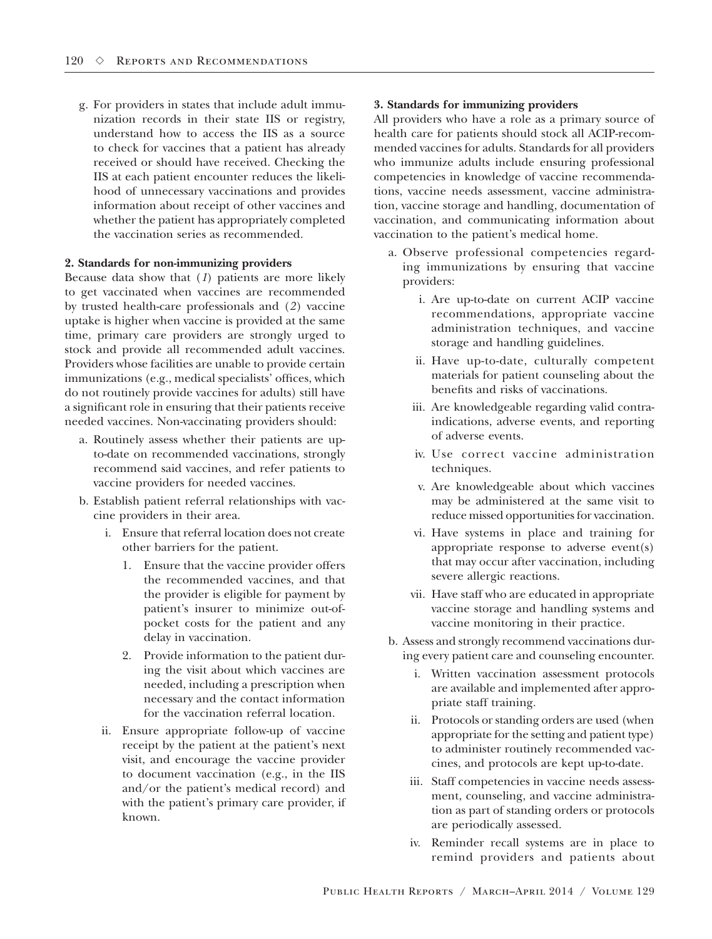g. For providers in states that include adult immunization records in their state IIS or registry, understand how to access the IIS as a source to check for vaccines that a patient has already received or should have received. Checking the IIS at each patient encounter reduces the likelihood of unnecessary vaccinations and provides information about receipt of other vaccines and whether the patient has appropriately completed the vaccination series as recommended.

# **2. Standards for non-immunizing providers**

Because data show that (*1*) patients are more likely to get vaccinated when vaccines are recommended by trusted health-care professionals and (*2*) vaccine uptake is higher when vaccine is provided at the same time, primary care providers are strongly urged to stock and provide all recommended adult vaccines. Providers whose facilities are unable to provide certain immunizations (e.g., medical specialists' offices, which do not routinely provide vaccines for adults) still have a significant role in ensuring that their patients receive needed vaccines. Non-vaccinating providers should:

- a. Routinely assess whether their patients are upto-date on recommended vaccinations, strongly recommend said vaccines, and refer patients to vaccine providers for needed vaccines.
- b. Establish patient referral relationships with vaccine providers in their area.
	- i. Ensure that referral location does not create other barriers for the patient.
		- 1. Ensure that the vaccine provider offers the recommended vaccines, and that the provider is eligible for payment by patient's insurer to minimize out-ofpocket costs for the patient and any delay in vaccination.
		- 2. Provide information to the patient during the visit about which vaccines are needed, including a prescription when necessary and the contact information for the vaccination referral location.
	- ii. Ensure appropriate follow-up of vaccine receipt by the patient at the patient's next visit, and encourage the vaccine provider to document vaccination (e.g., in the IIS and/or the patient's medical record) and with the patient's primary care provider, if known.

## **3. Standards for immunizing providers**

All providers who have a role as a primary source of health care for patients should stock all ACIP-recommended vaccines for adults. Standards for all providers who immunize adults include ensuring professional competencies in knowledge of vaccine recommendations, vaccine needs assessment, vaccine administration, vaccine storage and handling, documentation of vaccination, and communicating information about vaccination to the patient's medical home.

- a. Observe professional competencies regarding immunizations by ensuring that vaccine providers:
	- i. Are up-to-date on current ACIP vaccine recommendations, appropriate vaccine administration techniques, and vaccine storage and handling guidelines.
	- ii. Have up-to-date, culturally competent materials for patient counseling about the benefits and risks of vaccinations.
	- iii. Are knowledgeable regarding valid contraindications, adverse events, and reporting of adverse events.
	- iv. Use correct vaccine administration techniques.
	- v. Are knowledgeable about which vaccines may be administered at the same visit to reduce missed opportunities for vaccination.
	- vi. Have systems in place and training for appropriate response to adverse event(s) that may occur after vaccination, including severe allergic reactions.
	- vii. Have staff who are educated in appropriate vaccine storage and handling systems and vaccine monitoring in their practice.
- b. Assess and strongly recommend vaccinations during every patient care and counseling encounter.
	- i. Written vaccination assessment protocols are available and implemented after appropriate staff training.
	- ii. Protocols or standing orders are used (when appropriate for the setting and patient type) to administer routinely recommended vaccines, and protocols are kept up-to-date.
	- iii. Staff competencies in vaccine needs assessment, counseling, and vaccine administration as part of standing orders or protocols are periodically assessed.
	- iv. Reminder recall systems are in place to remind providers and patients about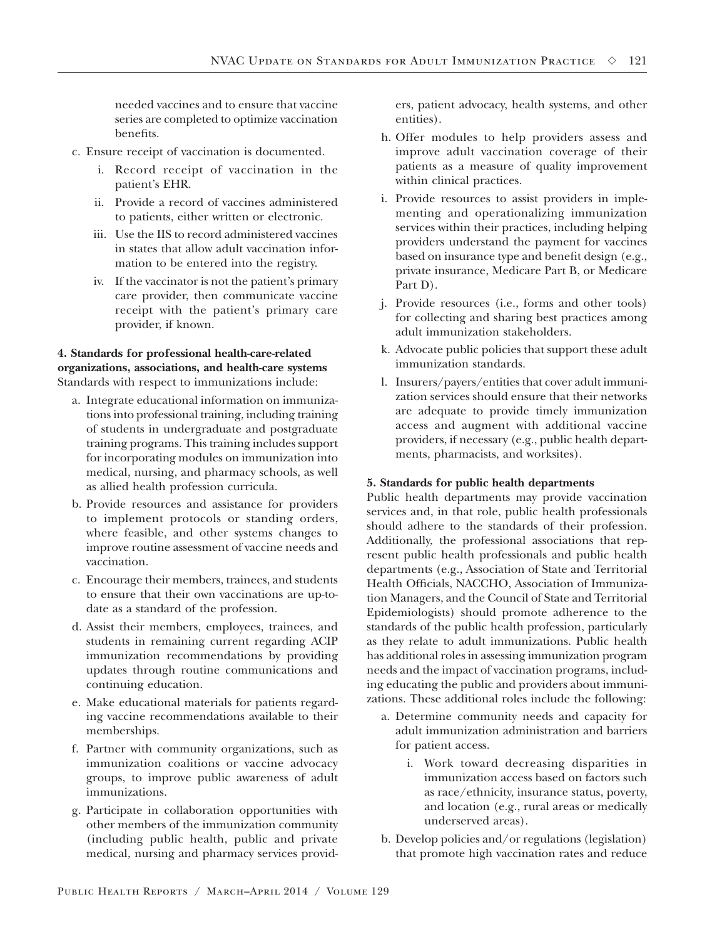needed vaccines and to ensure that vaccine series are completed to optimize vaccination benefits.

- c. Ensure receipt of vaccination is documented.
	- i. Record receipt of vaccination in the patient's EHR.
	- ii. Provide a record of vaccines administered to patients, either written or electronic.
	- iii. Use the IIS to record administered vaccines in states that allow adult vaccination information to be entered into the registry.
	- iv. If the vaccinator is not the patient's primary care provider, then communicate vaccine receipt with the patient's primary care provider, if known.

# **4. Standards for professional health-care-related organizations, associations, and health-care systems** Standards with respect to immunizations include:

- a. Integrate educational information on immunizations into professional training, including training of students in undergraduate and postgraduate training programs. This training includes support for incorporating modules on immunization into medical, nursing, and pharmacy schools, as well as allied health profession curricula.
- b. Provide resources and assistance for providers to implement protocols or standing orders, where feasible, and other systems changes to improve routine assessment of vaccine needs and vaccination.
- c. Encourage their members, trainees, and students to ensure that their own vaccinations are up-todate as a standard of the profession.
- d. Assist their members, employees, trainees, and students in remaining current regarding ACIP immunization recommendations by providing updates through routine communications and continuing education.
- e. Make educational materials for patients regarding vaccine recommendations available to their memberships.
- f. Partner with community organizations, such as immunization coalitions or vaccine advocacy groups, to improve public awareness of adult immunizations.
- g. Participate in collaboration opportunities with other members of the immunization community (including public health, public and private medical, nursing and pharmacy services provid-

ers, patient advocacy, health systems, and other entities).

- h. Offer modules to help providers assess and improve adult vaccination coverage of their patients as a measure of quality improvement within clinical practices.
- i. Provide resources to assist providers in implementing and operationalizing immunization services within their practices, including helping providers understand the payment for vaccines based on insurance type and benefit design (e.g., private insurance, Medicare Part B, or Medicare Part D).
- j. Provide resources (i.e., forms and other tools) for collecting and sharing best practices among adult immunization stakeholders.
- k. Advocate public policies that support these adult immunization standards.
- l. Insurers/payers/entities that cover adult immunization services should ensure that their networks are adequate to provide timely immunization access and augment with additional vaccine providers, if necessary (e.g., public health departments, pharmacists, and worksites).

# **5. Standards for public health departments**

Public health departments may provide vaccination services and, in that role, public health professionals should adhere to the standards of their profession. Additionally, the professional associations that represent public health professionals and public health departments (e.g., Association of State and Territorial Health Officials, NACCHO, Association of Immunization Managers, and the Council of State and Territorial Epidemiologists) should promote adherence to the standards of the public health profession, particularly as they relate to adult immunizations. Public health has additional roles in assessing immunization program needs and the impact of vaccination programs, including educating the public and providers about immunizations. These additional roles include the following:

- a. Determine community needs and capacity for adult immunization administration and barriers for patient access.
	- i. Work toward decreasing disparities in immunization access based on factors such as race/ethnicity, insurance status, poverty, and location (e.g., rural areas or medically underserved areas).
- b. Develop policies and/or regulations (legislation) that promote high vaccination rates and reduce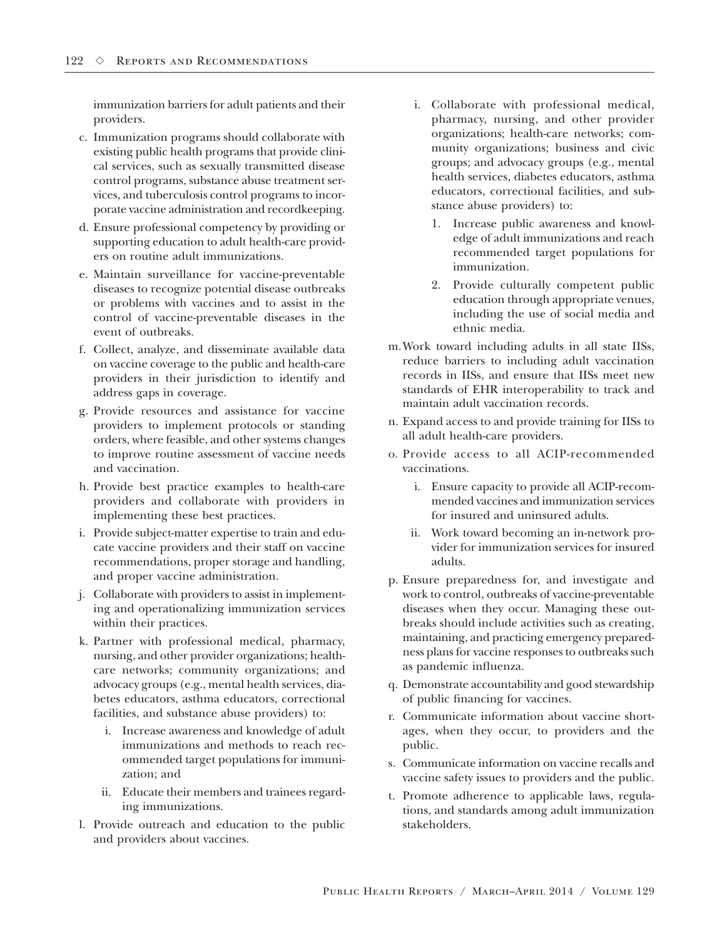immunization barriers for adult patients and their providers.

- c. Immunization programs should collaborate with existing public health programs that provide clinical services, such as sexually transmitted disease control programs, substance abuse treatment services, and tuberculosis control programs to incorporate vaccine administration and recordkeeping.
- d. Ensure professional competency by providing or supporting education to adult health-care providers on routine adult immunizations.
- e. Maintain surveillance for vaccine-preventable diseases to recognize potential disease outbreaks or problems with vaccines and to assist in the control of vaccine-preventable diseases in the event of outbreaks.
- f. Collect, analyze, and disseminate available data on vaccine coverage to the public and health-care providers in their jurisdiction to identify and address gaps in coverage.
- g. Provide resources and assistance for vaccine providers to implement protocols or standing orders, where feasible, and other systems changes to improve routine assessment of vaccine needs and vaccination.
- h. Provide best practice examples to health-care providers and collaborate with providers in implementing these best practices.
- i. Provide subject-matter expertise to train and educate vaccine providers and their staff on vaccine recommendations, proper storage and handling, and proper vaccine administration.
- j. Collaborate with providers to assist in implementing and operationalizing immunization services within their practices.
- k. Partner with professional medical, pharmacy, nursing, and other provider organizations; healthcare networks; community organizations; and advocacy groups (e.g., mental health services, diabetes educators, asthma educators, correctional facilities, and substance abuse providers) to:
	- i. Increase awareness and knowledge of adult immunizations and methods to reach recommended target populations for immunization; and
	- ii. Educate their members and trainees regarding immunizations.
- l. Provide outreach and education to the public and providers about vaccines.
- i. Collaborate with professional medical, pharmacy, nursing, and other provider organizations; health-care networks; community organizations; business and civic groups; and advocacy groups (e.g., mental health services, diabetes educators, asthma educators, correctional facilities, and substance abuse providers) to:
	- 1. Increase public awareness and knowledge of adult immunizations and reach recommended target populations for immunization.
	- 2. Provide culturally competent public education through appropriate venues, including the use of social media and ethnic media.
- m.Work toward including adults in all state IISs, reduce barriers to including adult vaccination records in IISs, and ensure that IISs meet new standards of EHR interoperability to track and maintain adult vaccination records.
- n. Expand access to and provide training for IISs to all adult health-care providers.
- o. Provide access to all ACIP-recommended vaccinations.
	- i. Ensure capacity to provide all ACIP-recommended vaccines and immunization services for insured and uninsured adults.
	- ii. Work toward becoming an in-network provider for immunization services for insured adults.
- p. Ensure preparedness for, and investigate and work to control, outbreaks of vaccine-preventable diseases when they occur. Managing these outbreaks should include activities such as creating, maintaining, and practicing emergency preparedness plans for vaccine responses to outbreaks such as pandemic influenza.
- q. Demonstrate accountability and good stewardship of public financing for vaccines.
- r. Communicate information about vaccine shortages, when they occur, to providers and the public.
- s. Communicate information on vaccine recalls and vaccine safety issues to providers and the public.
- t. Promote adherence to applicable laws, regulations, and standards among adult immunization stakeholders.